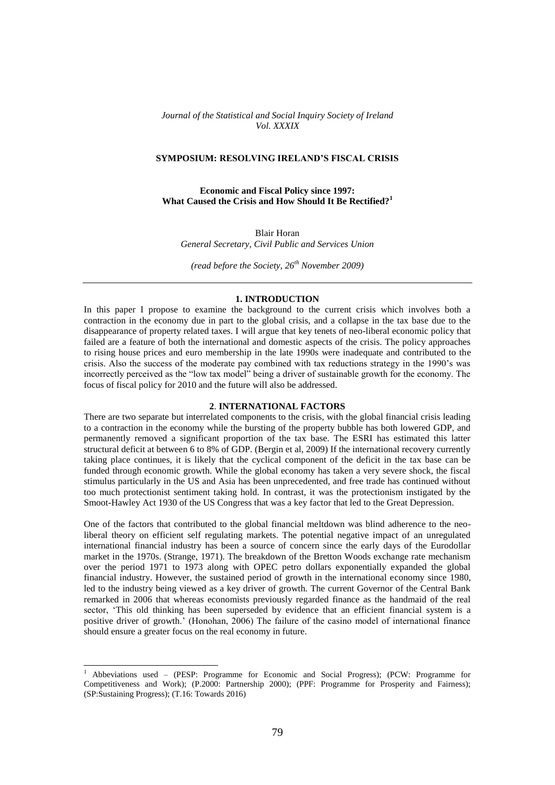*Journal of the Statistical and Social Inquiry Society of Ireland Vol. XXXIX*

## **SYMPOSIUM: RESOLVING IRELAND'S FISCAL CRISIS**

**Economic and Fiscal Policy since 1997: What Caused the Crisis and How Should It Be Rectified?<sup>1</sup>**

Blair Horan *General Secretary, Civil Public and Services Union*

*(read before the Society, 26th November 2009)*

#### **1. INTRODUCTION**

In this paper I propose to examine the background to the current crisis which involves both a contraction in the economy due in part to the global crisis, and a collapse in the tax base due to the disappearance of property related taxes. I will argue that key tenets of neo-liberal economic policy that failed are a feature of both the international and domestic aspects of the crisis. The policy approaches to rising house prices and euro membership in the late 1990s were inadequate and contributed to the crisis. Also the success of the moderate pay combined with tax reductions strategy in the 1990"s was incorrectly perceived as the "low tax model" being a driver of sustainable growth for the economy. The focus of fiscal policy for 2010 and the future will also be addressed.

## **2**. **INTERNATIONAL FACTORS**

There are two separate but interrelated components to the crisis, with the global financial crisis leading to a contraction in the economy while the bursting of the property bubble has both lowered GDP, and permanently removed a significant proportion of the tax base. The ESRI has estimated this latter structural deficit at between 6 to 8% of GDP. (Bergin et al, 2009) If the international recovery currently taking place continues, it is likely that the cyclical component of the deficit in the tax base can be funded through economic growth. While the global economy has taken a very severe shock, the fiscal stimulus particularly in the US and Asia has been unprecedented, and free trade has continued without too much protectionist sentiment taking hold. In contrast, it was the protectionism instigated by the Smoot-Hawley Act 1930 of the US Congress that was a key factor that led to the Great Depression.

One of the factors that contributed to the global financial meltdown was blind adherence to the neoliberal theory on efficient self regulating markets. The potential negative impact of an unregulated international financial industry has been a source of concern since the early days of the Eurodollar market in the 1970s. (Strange, 1971). The breakdown of the Bretton Woods exchange rate mechanism over the period 1971 to 1973 along with OPEC petro dollars exponentially expanded the global financial industry. However, the sustained period of growth in the international economy since 1980, led to the industry being viewed as a key driver of growth. The current Governor of the Central Bank remarked in 2006 that whereas economists previously regarded finance as the handmaid of the real sector, "This old thinking has been superseded by evidence that an efficient financial system is a positive driver of growth." (Honohan, 2006) The failure of the casino model of international finance should ensure a greater focus on the real economy in future.

1

<sup>&</sup>lt;sup>1</sup> Abbeviations used – (PESP: Programme for Economic and Social Progress); (PCW: Programme for Competitiveness and Work); (P.2000: Partnership 2000); (PPF: Programme for Prosperity and Fairness); (SP:Sustaining Progress); (T.16: Towards 2016)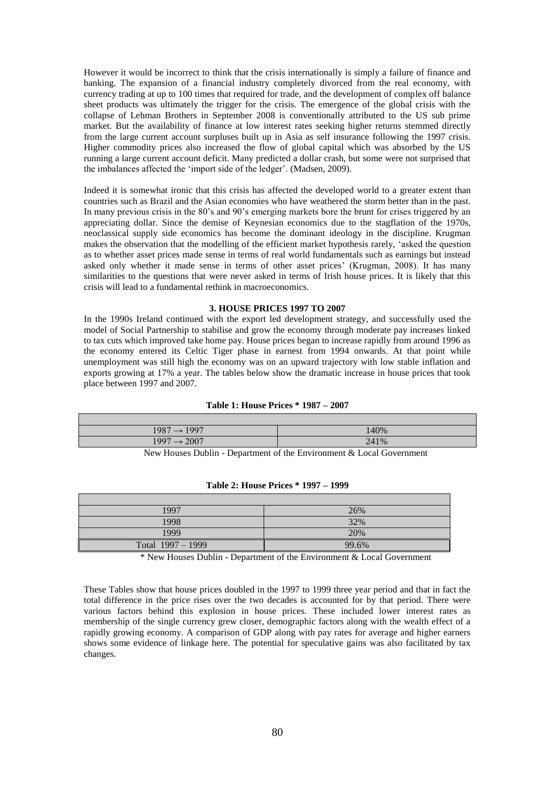However it would be incorrect to think that the crisis internationally is simply a failure of finance and banking. The expansion of a financial industry completely divorced from the real economy, with currency trading at up to 100 times that required for trade, and the development of complex off balance sheet products was ultimately the trigger for the crisis. The emergence of the global crisis with the collapse of Lehman Brothers in September 2008 is conventionally attributed to the US sub prime market. But the availability of finance at low interest rates seeking higher returns stemmed directly from the large current account surpluses built up in Asia as self insurance following the 1997 crisis. Higher commodity prices also increased the flow of global capital which was absorbed by the US running a large current account deficit. Many predicted a dollar crash, but some were not surprised that the imbalances affected the 'import side of the ledger'. (Madsen, 2009).

Indeed it is somewhat ironic that this crisis has affected the developed world to a greater extent than countries such as Brazil and the Asian economies who have weathered the storm better than in the past. In many previous crisis in the 80's and 90's emerging markets bore the brunt for crises triggered by an appreciating dollar. Since the demise of Keynesian economics due to the stagflation of the 1970s, neoclassical supply side economics has become the dominant ideology in the discipline. Krugman makes the observation that the modelling of the efficient market hypothesis rarely, "asked the question as to whether asset prices made sense in terms of real world fundamentals such as earnings but instead asked only whether it made sense in terms of other asset prices' (Krugman, 2008). It has many similarities to the questions that were never asked in terms of Irish house prices. It is likely that this crisis will lead to a fundamental rethink in macroeconomics.

#### **3. HOUSE PRICES 1997 TO 2007**

In the 1990s Ireland continued with the export led development strategy, and successfully used the model of Social Partnership to stabilise and grow the economy through moderate pay increases linked to tax cuts which improved take home pay. House prices began to increase rapidly from around 1996 as the economy entered its Celtic Tiger phase in earnest from 1994 onwards. At that point while unemployment was still high the economy was on an upward trajectory with low stable inflation and exports growing at 17% a year. The tables below show the dramatic increase in house prices that took place between 1997 and 2007.

## **Table 1: House Prices \* 1987 – 2007**

| 1987<br>$\rightarrow$ 1997    | 140% |
|-------------------------------|------|
| 1997<br>2007<br>$\rightarrow$ | 241% |

New Houses Dublin - Department of the Environment & Local Government

| 1997              | 26%   |
|-------------------|-------|
| 1998              | 32%   |
| 1999              | 20%   |
| Total 1997 - 1999 | 99.6% |

**Table 2: House Prices \* 1997 – 1999**

\* New Houses Dublin - Department of the Environment & Local Government

These Tables show that house prices doubled in the 1997 to 1999 three year period and that in fact the total difference in the price rises over the two decades is accounted for by that period. There were various factors behind this explosion in house prices. These included lower interest rates as membership of the single currency grew closer, demographic factors along with the wealth effect of a rapidly growing economy. A comparison of GDP along with pay rates for average and higher earners shows some evidence of linkage here. The potential for speculative gains was also facilitated by tax changes.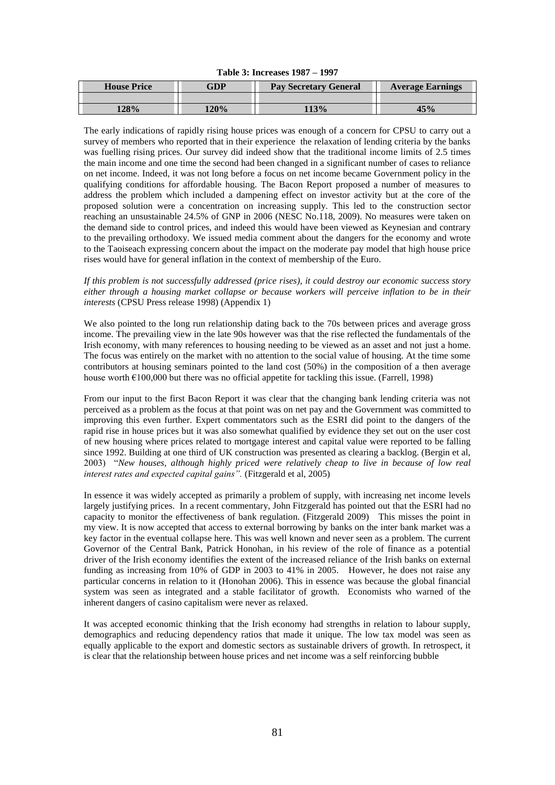|  | Table 3: Increases 1987 – 1997 |  |  |
|--|--------------------------------|--|--|
|--|--------------------------------|--|--|

| <b>House Price</b> | GDP  | <b>Pay Secretary General</b> | <b>Average Earnings</b> |  |
|--------------------|------|------------------------------|-------------------------|--|
|                    |      |                              |                         |  |
| 128%               | 120% | 13%                          | 45%                     |  |

The early indications of rapidly rising house prices was enough of a concern for CPSU to carry out a survey of members who reported that in their experience the relaxation of lending criteria by the banks was fuelling rising prices. Our survey did indeed show that the traditional income limits of 2.5 times the main income and one time the second had been changed in a significant number of cases to reliance on net income. Indeed, it was not long before a focus on net income became Government policy in the qualifying conditions for affordable housing. The Bacon Report proposed a number of measures to address the problem which included a dampening effect on investor activity but at the core of the proposed solution were a concentration on increasing supply. This led to the construction sector reaching an unsustainable 24.5% of GNP in 2006 (NESC No.118, 2009). No measures were taken on the demand side to control prices, and indeed this would have been viewed as Keynesian and contrary to the prevailing orthodoxy. We issued media comment about the dangers for the economy and wrote to the Taoiseach expressing concern about the impact on the moderate pay model that high house price rises would have for general inflation in the context of membership of the Euro.

*If this problem is not successfully addressed (price rises), it could destroy our economic success story either through a housing market collapse or because workers will perceive inflation to be in their interests* (CPSU Press release 1998) (Appendix 1)

We also pointed to the long run relationship dating back to the 70s between prices and average gross income. The prevailing view in the late 90s however was that the rise reflected the fundamentals of the Irish economy, with many references to housing needing to be viewed as an asset and not just a home. The focus was entirely on the market with no attention to the social value of housing. At the time some contributors at housing seminars pointed to the land cost (50%) in the composition of a then average house worth  $\epsilon$ 100,000 but there was no official appetite for tackling this issue. (Farrell, 1998)

From our input to the first Bacon Report it was clear that the changing bank lending criteria was not perceived as a problem as the focus at that point was on net pay and the Government was committed to improving this even further. Expert commentators such as the ESRI did point to the dangers of the rapid rise in house prices but it was also somewhat qualified by evidence they set out on the user cost of new housing where prices related to mortgage interest and capital value were reported to be falling since 1992. Building at one third of UK construction was presented as clearing a backlog. (Bergin et al, 2003) "*New houses, although highly priced were relatively cheap to live in because of low real interest rates and expected capital gains".* (Fitzgerald et al, 2005)

In essence it was widely accepted as primarily a problem of supply, with increasing net income levels largely justifying prices. In a recent commentary, John Fitzgerald has pointed out that the ESRI had no capacity to monitor the effectiveness of bank regulation. (Fitzgerald 2009) This misses the point in my view. It is now accepted that access to external borrowing by banks on the inter bank market was a key factor in the eventual collapse here. This was well known and never seen as a problem. The current Governor of the Central Bank, Patrick Honohan, in his review of the role of finance as a potential driver of the Irish economy identifies the extent of the increased reliance of the Irish banks on external funding as increasing from 10% of GDP in 2003 to 41% in 2005. However, he does not raise any particular concerns in relation to it (Honohan 2006). This in essence was because the global financial system was seen as integrated and a stable facilitator of growth. Economists who warned of the inherent dangers of casino capitalism were never as relaxed.

It was accepted economic thinking that the Irish economy had strengths in relation to labour supply, demographics and reducing dependency ratios that made it unique. The low tax model was seen as equally applicable to the export and domestic sectors as sustainable drivers of growth. In retrospect, it is clear that the relationship between house prices and net income was a self reinforcing bubble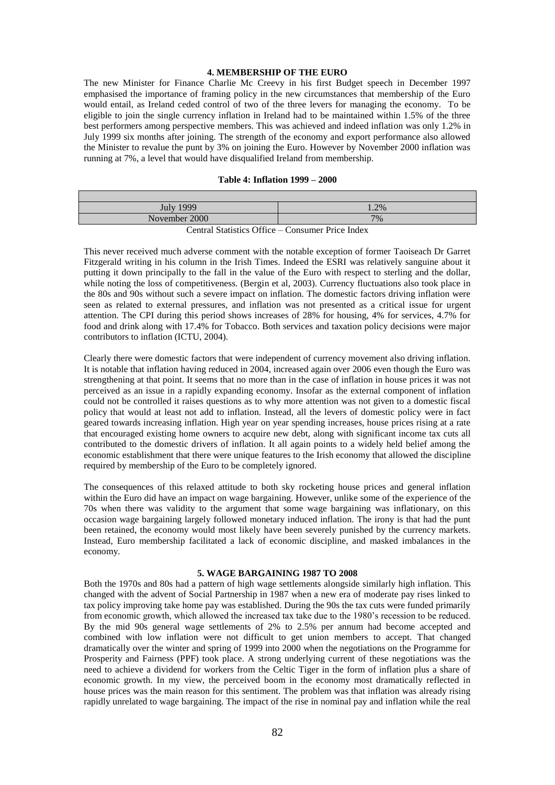## **4. MEMBERSHIP OF THE EURO**

The new Minister for Finance Charlie Mc Creevy in his first Budget speech in December 1997 emphasised the importance of framing policy in the new circumstances that membership of the Euro would entail, as Ireland ceded control of two of the three levers for managing the economy. To be eligible to join the single currency inflation in Ireland had to be maintained within 1.5% of the three best performers among perspective members. This was achieved and indeed inflation was only 1.2% in July 1999 six months after joining. The strength of the economy and export performance also allowed the Minister to revalue the punt by 3% on joining the Euro. However by November 2000 inflation was running at 7%, a level that would have disqualified Ireland from membership.

# **Table 4: Inflation 1999 – 2000**

| <b>July 1999</b>                                                                                                                                                                                                                                                                                                                                | 1.2% |
|-------------------------------------------------------------------------------------------------------------------------------------------------------------------------------------------------------------------------------------------------------------------------------------------------------------------------------------------------|------|
| November 2000                                                                                                                                                                                                                                                                                                                                   | 7%   |
| $\alpha$ , in $\alpha$ and $\alpha$ is $\alpha$ is $\alpha$ is $\alpha$ if $\alpha$ is $\alpha$ if $\alpha$ is $\alpha$ if $\alpha$ is $\alpha$ if $\alpha$ is $\alpha$ if $\alpha$ is $\alpha$ is $\alpha$ is $\alpha$ is $\alpha$ is $\alpha$ is $\alpha$ is $\alpha$ is $\alpha$ is $\alpha$ is $\alpha$ is $\alpha$ is $\alpha$ is $\alpha$ |      |

Central Statistics Office – Consumer Price Index

This never received much adverse comment with the notable exception of former Taoiseach Dr Garret Fitzgerald writing in his column in the Irish Times. Indeed the ESRI was relatively sanguine about it putting it down principally to the fall in the value of the Euro with respect to sterling and the dollar, while noting the loss of competitiveness. (Bergin et al, 2003). Currency fluctuations also took place in the 80s and 90s without such a severe impact on inflation. The domestic factors driving inflation were seen as related to external pressures, and inflation was not presented as a critical issue for urgent attention. The CPI during this period shows increases of 28% for housing, 4% for services, 4.7% for food and drink along with 17.4% for Tobacco. Both services and taxation policy decisions were major contributors to inflation (ICTU, 2004).

Clearly there were domestic factors that were independent of currency movement also driving inflation. It is notable that inflation having reduced in 2004, increased again over 2006 even though the Euro was strengthening at that point. It seems that no more than in the case of inflation in house prices it was not perceived as an issue in a rapidly expanding economy. Insofar as the external component of inflation could not be controlled it raises questions as to why more attention was not given to a domestic fiscal policy that would at least not add to inflation. Instead, all the levers of domestic policy were in fact geared towards increasing inflation. High year on year spending increases, house prices rising at a rate that encouraged existing home owners to acquire new debt, along with significant income tax cuts all contributed to the domestic drivers of inflation. It all again points to a widely held belief among the economic establishment that there were unique features to the Irish economy that allowed the discipline required by membership of the Euro to be completely ignored.

The consequences of this relaxed attitude to both sky rocketing house prices and general inflation within the Euro did have an impact on wage bargaining. However, unlike some of the experience of the 70s when there was validity to the argument that some wage bargaining was inflationary, on this occasion wage bargaining largely followed monetary induced inflation. The irony is that had the punt been retained, the economy would most likely have been severely punished by the currency markets. Instead, Euro membership facilitated a lack of economic discipline, and masked imbalances in the economy.

#### **5. WAGE BARGAINING 1987 TO 2008**

Both the 1970s and 80s had a pattern of high wage settlements alongside similarly high inflation. This changed with the advent of Social Partnership in 1987 when a new era of moderate pay rises linked to tax policy improving take home pay was established. During the 90s the tax cuts were funded primarily from economic growth, which allowed the increased tax take due to the 1980"s recession to be reduced. By the mid 90s general wage settlements of 2% to 2.5% per annum had become accepted and combined with low inflation were not difficult to get union members to accept. That changed dramatically over the winter and spring of 1999 into 2000 when the negotiations on the Programme for Prosperity and Fairness (PPF) took place. A strong underlying current of these negotiations was the need to achieve a dividend for workers from the Celtic Tiger in the form of inflation plus a share of economic growth. In my view, the perceived boom in the economy most dramatically reflected in house prices was the main reason for this sentiment. The problem was that inflation was already rising rapidly unrelated to wage bargaining. The impact of the rise in nominal pay and inflation while the real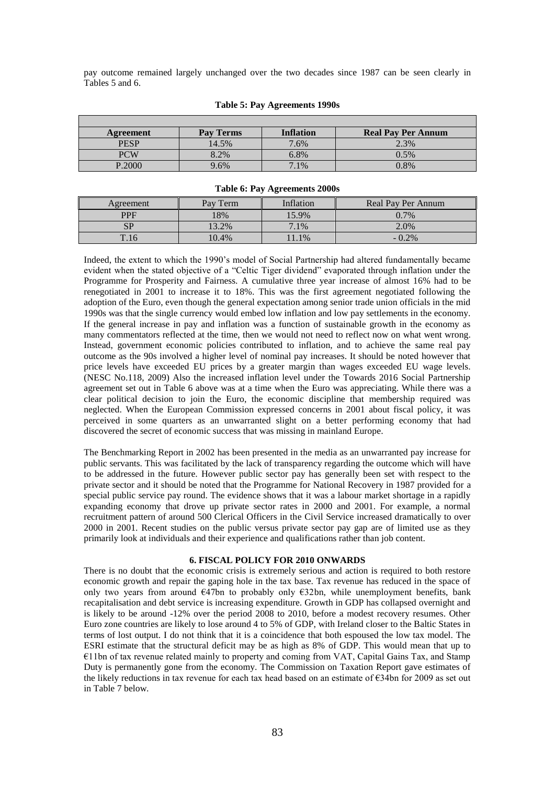pay outcome remained largely unchanged over the two decades since 1987 can be seen clearly in Tables 5 and 6.

| Agreement   | Pay Terms | <b>Inflation</b> | <b>Real Pay Per Annum</b> |
|-------------|-----------|------------------|---------------------------|
| <b>PESP</b> | 14.5%     | 7.6%             | 2.3%                      |
| <b>PCW</b>  | $3.2\%$   | 6.8%             | 0.5%                      |
| P.2000      | 9.6%      | 7.1%             | 0.8%                      |

#### **Table 5: Pay Agreements 1990s**

#### **Table 6: Pay Agreements 2000s**

| Agreement  | Pay Term | Inflation | Real Pay Per Annum |
|------------|----------|-----------|--------------------|
| <b>PPF</b> | 18%      | 15.9%     | 0.7%               |
| CD         | 3.2%     | 7.1%      | 2.0%               |
| T.16       | 0.4%     | 1.1%      | $-0.2\%$           |

Indeed, the extent to which the 1990"s model of Social Partnership had altered fundamentally became evident when the stated objective of a "Celtic Tiger dividend" evaporated through inflation under the Programme for Prosperity and Fairness. A cumulative three year increase of almost 16% had to be renegotiated in 2001 to increase it to 18%. This was the first agreement negotiated following the adoption of the Euro, even though the general expectation among senior trade union officials in the mid 1990s was that the single currency would embed low inflation and low pay settlements in the economy. If the general increase in pay and inflation was a function of sustainable growth in the economy as many commentators reflected at the time, then we would not need to reflect now on what went wrong. Instead, government economic policies contributed to inflation, and to achieve the same real pay outcome as the 90s involved a higher level of nominal pay increases. It should be noted however that price levels have exceeded EU prices by a greater margin than wages exceeded EU wage levels. (NESC No.118, 2009) Also the increased inflation level under the Towards 2016 Social Partnership agreement set out in Table 6 above was at a time when the Euro was appreciating. While there was a clear political decision to join the Euro, the economic discipline that membership required was neglected. When the European Commission expressed concerns in 2001 about fiscal policy, it was perceived in some quarters as an unwarranted slight on a better performing economy that had discovered the secret of economic success that was missing in mainland Europe.

The Benchmarking Report in 2002 has been presented in the media as an unwarranted pay increase for public servants. This was facilitated by the lack of transparency regarding the outcome which will have to be addressed in the future. However public sector pay has generally been set with respect to the private sector and it should be noted that the Programme for National Recovery in 1987 provided for a special public service pay round. The evidence shows that it was a labour market shortage in a rapidly expanding economy that drove up private sector rates in 2000 and 2001. For example, a normal recruitment pattern of around 500 Clerical Officers in the Civil Service increased dramatically to over 2000 in 2001. Recent studies on the public versus private sector pay gap are of limited use as they primarily look at individuals and their experience and qualifications rather than job content.

## **6. FISCAL POLICY FOR 2010 ONWARDS**

There is no doubt that the economic crisis is extremely serious and action is required to both restore economic growth and repair the gaping hole in the tax base. Tax revenue has reduced in the space of only two years from around €47bn to probably only €32bn, while unemployment benefits, bank recapitalisation and debt service is increasing expenditure. Growth in GDP has collapsed overnight and is likely to be around -12% over the period 2008 to 2010, before a modest recovery resumes. Other Euro zone countries are likely to lose around 4 to 5% of GDP, with Ireland closer to the Baltic States in terms of lost output. I do not think that it is a coincidence that both espoused the low tax model. The ESRI estimate that the structural deficit may be as high as 8% of GDP. This would mean that up to €11bn of tax revenue related mainly to property and coming from VAT, Capital Gains Tax, and Stamp Duty is permanently gone from the economy. The Commission on Taxation Report gave estimates of the likely reductions in tax revenue for each tax head based on an estimate of €34bn for 2009 as set out in Table 7 below.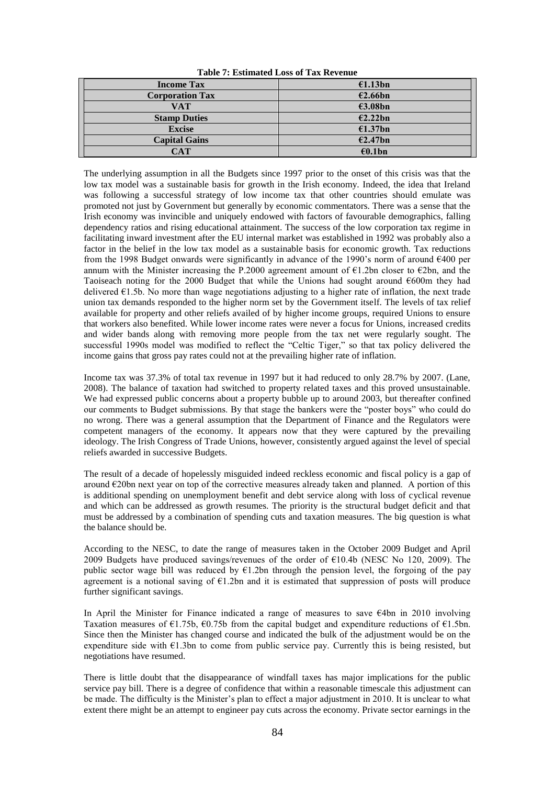| <b>Table 7: Estimated Loss of Tax Revenue</b> |  |  |
|-----------------------------------------------|--|--|
|-----------------------------------------------|--|--|

| <b>Income Tax</b>      | £1.13bn |
|------------------------|---------|
| <b>Corporation Tax</b> | €2.66bn |
| VAT                    | €3.08bn |
| <b>Stamp Duties</b>    | E2.22bn |
| <b>Excise</b>          | £1.37bn |
| <b>Capital Gains</b>   | €2.47bn |
| CAT                    | €0.1bn  |

The underlying assumption in all the Budgets since 1997 prior to the onset of this crisis was that the low tax model was a sustainable basis for growth in the Irish economy. Indeed, the idea that Ireland was following a successful strategy of low income tax that other countries should emulate was promoted not just by Government but generally by economic commentators. There was a sense that the Irish economy was invincible and uniquely endowed with factors of favourable demographics, falling dependency ratios and rising educational attainment. The success of the low corporation tax regime in facilitating inward investment after the EU internal market was established in 1992 was probably also a factor in the belief in the low tax model as a sustainable basis for economic growth. Tax reductions from the 1998 Budget onwards were significantly in advance of the 1990's norm of around  $\epsilon$ 400 per annum with the Minister increasing the P.2000 agreement amount of  $E1.2$ bn closer to  $E2$ bn, and the Taoiseach noting for the 2000 Budget that while the Unions had sought around €600m they had delivered  $E1.5b$ . No more than wage negotiations adjusting to a higher rate of inflation, the next trade union tax demands responded to the higher norm set by the Government itself. The levels of tax relief available for property and other reliefs availed of by higher income groups, required Unions to ensure that workers also benefited. While lower income rates were never a focus for Unions, increased credits and wider bands along with removing more people from the tax net were regularly sought. The successful 1990s model was modified to reflect the "Celtic Tiger," so that tax policy delivered the income gains that gross pay rates could not at the prevailing higher rate of inflation.

Income tax was 37.3% of total tax revenue in 1997 but it had reduced to only 28.7% by 2007. (Lane, 2008). The balance of taxation had switched to property related taxes and this proved unsustainable. We had expressed public concerns about a property bubble up to around 2003, but thereafter confined our comments to Budget submissions. By that stage the bankers were the "poster boys" who could do no wrong. There was a general assumption that the Department of Finance and the Regulators were competent managers of the economy. It appears now that they were captured by the prevailing ideology. The Irish Congress of Trade Unions, however, consistently argued against the level of special reliefs awarded in successive Budgets.

The result of a decade of hopelessly misguided indeed reckless economic and fiscal policy is a gap of around €20bn next year on top of the corrective measures already taken and planned. A portion of this is additional spending on unemployment benefit and debt service along with loss of cyclical revenue and which can be addressed as growth resumes. The priority is the structural budget deficit and that must be addressed by a combination of spending cuts and taxation measures. The big question is what the balance should be.

According to the NESC, to date the range of measures taken in the October 2009 Budget and April 2009 Budgets have produced savings/revenues of the order of  $E10.4b$  (NESC No 120, 2009). The public sector wage bill was reduced by  $E1.2$ bn through the pension level, the forgoing of the pay agreement is a notional saving of  $E1.2$ bn and it is estimated that suppression of posts will produce further significant savings.

In April the Minister for Finance indicated a range of measures to save €4bn in 2010 involving Taxation measures of  $\epsilon$ 1.75b,  $\epsilon$ 0.75b from the capital budget and expenditure reductions of  $\epsilon$ 1.5bn. Since then the Minister has changed course and indicated the bulk of the adjustment would be on the expenditure side with €1.3bn to come from public service pay. Currently this is being resisted, but negotiations have resumed.

There is little doubt that the disappearance of windfall taxes has major implications for the public service pay bill. There is a degree of confidence that within a reasonable timescale this adjustment can be made. The difficulty is the Minister's plan to effect a major adjustment in 2010. It is unclear to what extent there might be an attempt to engineer pay cuts across the economy. Private sector earnings in the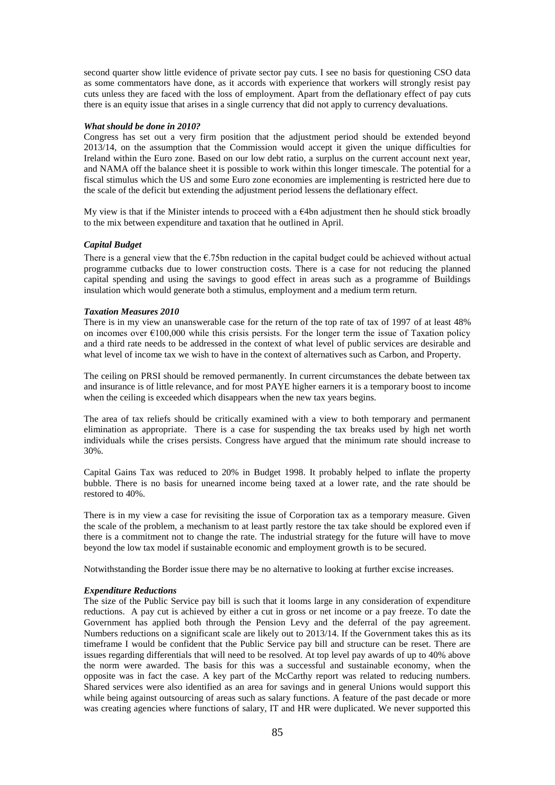second quarter show little evidence of private sector pay cuts. I see no basis for questioning CSO data as some commentators have done, as it accords with experience that workers will strongly resist pay cuts unless they are faced with the loss of employment. Apart from the deflationary effect of pay cuts there is an equity issue that arises in a single currency that did not apply to currency devaluations.

## *What should be done in 2010?*

Congress has set out a very firm position that the adjustment period should be extended beyond 2013/14, on the assumption that the Commission would accept it given the unique difficulties for Ireland within the Euro zone. Based on our low debt ratio, a surplus on the current account next year, and NAMA off the balance sheet it is possible to work within this longer timescale. The potential for a fiscal stimulus which the US and some Euro zone economies are implementing is restricted here due to the scale of the deficit but extending the adjustment period lessens the deflationary effect.

My view is that if the Minister intends to proceed with a  $E4bn$  adjustment then he should stick broadly to the mix between expenditure and taxation that he outlined in April.

## *Capital Budget*

There is a general view that the  $\epsilon$ .75bn reduction in the capital budget could be achieved without actual programme cutbacks due to lower construction costs. There is a case for not reducing the planned capital spending and using the savings to good effect in areas such as a programme of Buildings insulation which would generate both a stimulus, employment and a medium term return.

## *Taxation Measures 2010*

There is in my view an unanswerable case for the return of the top rate of tax of 1997 of at least 48% on incomes over  $\epsilon$ 100,000 while this crisis persists. For the longer term the issue of Taxation policy and a third rate needs to be addressed in the context of what level of public services are desirable and what level of income tax we wish to have in the context of alternatives such as Carbon, and Property.

The ceiling on PRSI should be removed permanently. In current circumstances the debate between tax and insurance is of little relevance, and for most PAYE higher earners it is a temporary boost to income when the ceiling is exceeded which disappears when the new tax years begins.

The area of tax reliefs should be critically examined with a view to both temporary and permanent elimination as appropriate. There is a case for suspending the tax breaks used by high net worth individuals while the crises persists. Congress have argued that the minimum rate should increase to 30%.

Capital Gains Tax was reduced to 20% in Budget 1998. It probably helped to inflate the property bubble. There is no basis for unearned income being taxed at a lower rate, and the rate should be restored to 40%.

There is in my view a case for revisiting the issue of Corporation tax as a temporary measure. Given the scale of the problem, a mechanism to at least partly restore the tax take should be explored even if there is a commitment not to change the rate. The industrial strategy for the future will have to move beyond the low tax model if sustainable economic and employment growth is to be secured.

Notwithstanding the Border issue there may be no alternative to looking at further excise increases.

## *Expenditure Reductions*

The size of the Public Service pay bill is such that it looms large in any consideration of expenditure reductions. A pay cut is achieved by either a cut in gross or net income or a pay freeze. To date the Government has applied both through the Pension Levy and the deferral of the pay agreement. Numbers reductions on a significant scale are likely out to 2013/14. If the Government takes this as its timeframe I would be confident that the Public Service pay bill and structure can be reset. There are issues regarding differentials that will need to be resolved. At top level pay awards of up to 40% above the norm were awarded. The basis for this was a successful and sustainable economy, when the opposite was in fact the case. A key part of the McCarthy report was related to reducing numbers. Shared services were also identified as an area for savings and in general Unions would support this while being against outsourcing of areas such as salary functions. A feature of the past decade or more was creating agencies where functions of salary, IT and HR were duplicated. We never supported this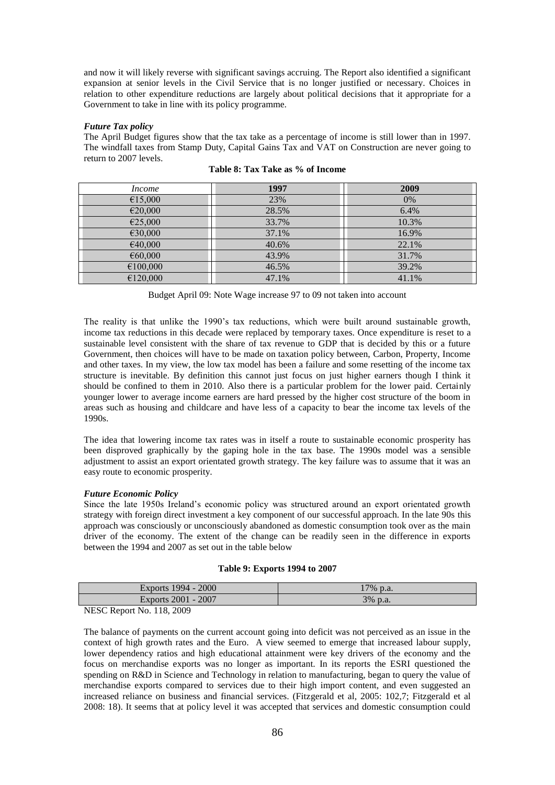and now it will likely reverse with significant savings accruing. The Report also identified a significant expansion at senior levels in the Civil Service that is no longer justified or necessary. Choices in relation to other expenditure reductions are largely about political decisions that it appropriate for a Government to take in line with its policy programme.

## *Future Tax policy*

The April Budget figures show that the tax take as a percentage of income is still lower than in 1997. The windfall taxes from Stamp Duty, Capital Gains Tax and VAT on Construction are never going to return to 2007 levels.

| <i>Income</i> | 1997  | 2009  |
|---------------|-------|-------|
| €15,000       | 23%   | 0%    |
| €20,000       | 28.5% | 6.4%  |
| €25,000       | 33.7% | 10.3% |
| €30,000       | 37.1% | 16.9% |
| €40,000       | 40.6% | 22.1% |
| €60,000       | 43.9% | 31.7% |
| €100,000      | 46.5% | 39.2% |
| €120,000      | 47.1% | 41.1% |

**Table 8: Tax Take as % of Income**

| Budget April 09: Note Wage increase 97 to 09 not taken into account |  |  |  |
|---------------------------------------------------------------------|--|--|--|
|                                                                     |  |  |  |

The reality is that unlike the 1990's tax reductions, which were built around sustainable growth, income tax reductions in this decade were replaced by temporary taxes. Once expenditure is reset to a sustainable level consistent with the share of tax revenue to GDP that is decided by this or a future Government, then choices will have to be made on taxation policy between, Carbon, Property, Income and other taxes. In my view, the low tax model has been a failure and some resetting of the income tax structure is inevitable. By definition this cannot just focus on just higher earners though I think it should be confined to them in 2010. Also there is a particular problem for the lower paid. Certainly younger lower to average income earners are hard pressed by the higher cost structure of the boom in areas such as housing and childcare and have less of a capacity to bear the income tax levels of the 1990s.

The idea that lowering income tax rates was in itself a route to sustainable economic prosperity has been disproved graphically by the gaping hole in the tax base. The 1990s model was a sensible adjustment to assist an export orientated growth strategy. The key failure was to assume that it was an easy route to economic prosperity.

## *Future Economic Policy*

Since the late 1950s Ireland"s economic policy was structured around an export orientated growth strategy with foreign direct investment a key component of our successful approach. In the late 90s this approach was consciously or unconsciously abandoned as domestic consumption took over as the main driver of the economy. The extent of the change can be readily seen in the difference in exports between the 1994 and 2007 as set out in the table below

## **Table 9: Exports 1994 to 2007**

| Exports 1994 - 2000                                                              | 17% p.a. |
|----------------------------------------------------------------------------------|----------|
| Exports 2001 - 2007                                                              | 3% p.a.  |
| $\mathbf{M}$ $\mathbf{M}$ $\mathbf{M}$ $\mathbf{M}$ $\mathbf{M}$<br>$\mathbf{H}$ |          |

NESC Report No. 118, 2009

The balance of payments on the current account going into deficit was not perceived as an issue in the context of high growth rates and the Euro. A view seemed to emerge that increased labour supply, lower dependency ratios and high educational attainment were key drivers of the economy and the focus on merchandise exports was no longer as important. In its reports the ESRI questioned the spending on R&D in Science and Technology in relation to manufacturing, began to query the value of merchandise exports compared to services due to their high import content, and even suggested an increased reliance on business and financial services. (Fitzgerald et al, 2005: 102,7; Fitzgerald et al 2008: 18). It seems that at policy level it was accepted that services and domestic consumption could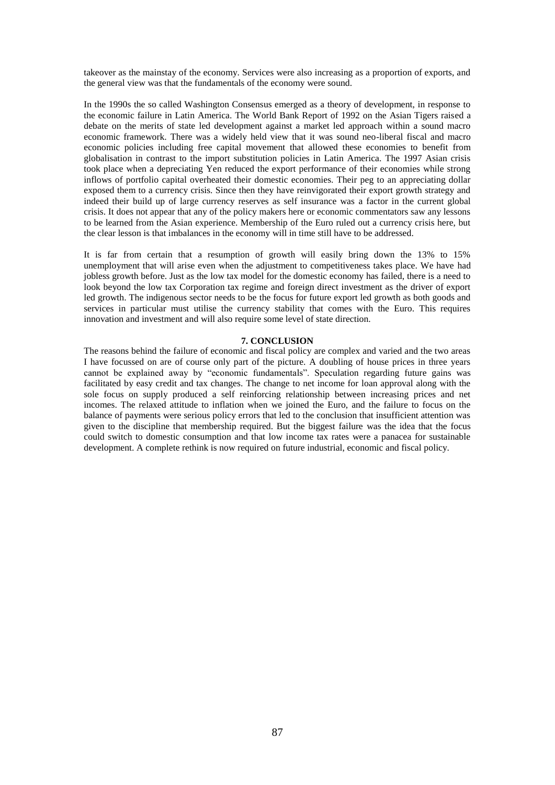takeover as the mainstay of the economy. Services were also increasing as a proportion of exports, and the general view was that the fundamentals of the economy were sound.

In the 1990s the so called Washington Consensus emerged as a theory of development, in response to the economic failure in Latin America. The World Bank Report of 1992 on the Asian Tigers raised a debate on the merits of state led development against a market led approach within a sound macro economic framework. There was a widely held view that it was sound neo-liberal fiscal and macro economic policies including free capital movement that allowed these economies to benefit from globalisation in contrast to the import substitution policies in Latin America. The 1997 Asian crisis took place when a depreciating Yen reduced the export performance of their economies while strong inflows of portfolio capital overheated their domestic economies. Their peg to an appreciating dollar exposed them to a currency crisis. Since then they have reinvigorated their export growth strategy and indeed their build up of large currency reserves as self insurance was a factor in the current global crisis. It does not appear that any of the policy makers here or economic commentators saw any lessons to be learned from the Asian experience. Membership of the Euro ruled out a currency crisis here, but the clear lesson is that imbalances in the economy will in time still have to be addressed.

It is far from certain that a resumption of growth will easily bring down the 13% to 15% unemployment that will arise even when the adjustment to competitiveness takes place. We have had jobless growth before. Just as the low tax model for the domestic economy has failed, there is a need to look beyond the low tax Corporation tax regime and foreign direct investment as the driver of export led growth. The indigenous sector needs to be the focus for future export led growth as both goods and services in particular must utilise the currency stability that comes with the Euro. This requires innovation and investment and will also require some level of state direction.

## **7. CONCLUSION**

The reasons behind the failure of economic and fiscal policy are complex and varied and the two areas I have focussed on are of course only part of the picture. A doubling of house prices in three years cannot be explained away by "economic fundamentals". Speculation regarding future gains was facilitated by easy credit and tax changes. The change to net income for loan approval along with the sole focus on supply produced a self reinforcing relationship between increasing prices and net incomes. The relaxed attitude to inflation when we joined the Euro, and the failure to focus on the balance of payments were serious policy errors that led to the conclusion that insufficient attention was given to the discipline that membership required. But the biggest failure was the idea that the focus could switch to domestic consumption and that low income tax rates were a panacea for sustainable development. A complete rethink is now required on future industrial, economic and fiscal policy.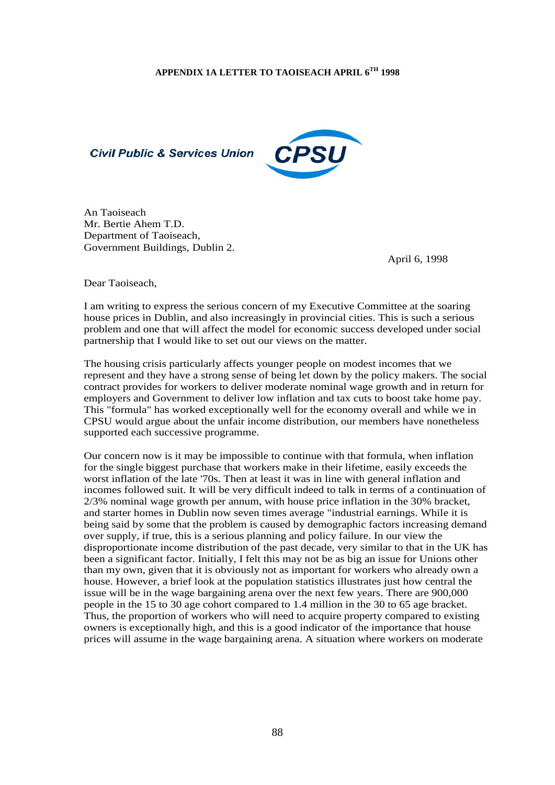



An Taoiseach Mr. Bertie Ahem T.D. Department of Taoiseach, Government Buildings, Dublin 2.

April 6, 1998

Dear Taoiseach,

I am writing to express the serious concern of my Executive Committee at the soaring house prices in Dublin, and also increasingly in provincial cities. This is such a serious problem and one that will affect the model for economic success developed under social partnership that I would like to set out our views on the matter.

The housing crisis particularly affects younger people on modest incomes that we represent and they have a strong sense of being let down by the policy makers. The social contract provides for workers to deliver moderate nominal wage growth and in return for employers and Government to deliver low inflation and tax cuts to boost take home pay. This "formula" has worked exceptionally well for the economy overall and while we in CPSU would argue about the unfair income distribution, our members have nonetheless supported each successive programme.

Our concern now is it may be impossible to continue with that formula, when inflation for the single biggest purchase that workers make in their lifetime, easily exceeds the worst inflation of the late '70s. Then at least it was in line with general inflation and incomes followed suit. It will be very difficult indeed to talk in terms of a continuation of 2/3% nominal wage growth per annum, with house price inflation in the 30% bracket, and starter homes in Dublin now seven times average "industrial earnings. While it is being said by some that the problem is caused by demographic factors increasing demand over supply, if true, this is a serious planning and policy failure. In our view the disproportionate income distribution of the past decade, very similar to that in the UK has been a significant factor. Initially, I felt this may not be as big an issue for Unions other than my own, given that it is obviously not as important for workers who already own a house. However, a brief look at the population statistics illustrates just how central the issue will be in the wage bargaining arena over the next few years. There are 900,000 people in the 15 to 30 age cohort compared to 1.4 million in the 30 to 65 age bracket. Thus, the proportion of workers who will need to acquire property compared to existing owners is exceptionally high, and this is a good indicator of the importance that house prices will assume in the wage bargaining arena. A situation where workers on moderate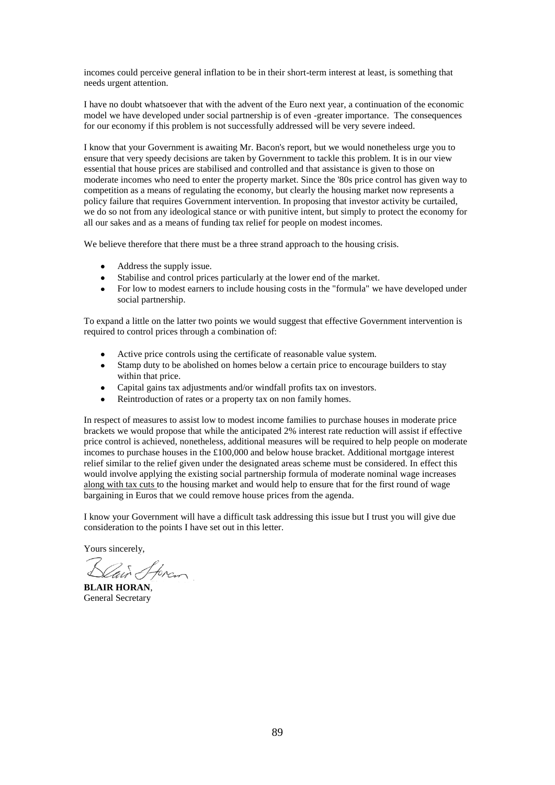incomes could perceive general inflation to be in their short-term interest at least, is something that needs urgent attention.

I have no doubt whatsoever that with the advent of the Euro next year, a continuation of the economic model we have developed under social partnership is of even -greater importance. The consequences for our economy if this problem is not successfully addressed will be very severe indeed.

I know that your Government is awaiting Mr. Bacon's report, but we would nonetheless urge you to ensure that very speedy decisions are taken by Government to tackle this problem. It is in our view essential that house prices are stabilised and controlled and that assistance is given to those on moderate incomes who need to enter the property market. Since the '80s price control has given way to competition as a means of regulating the economy, but clearly the housing market now represents a policy failure that requires Government intervention. In proposing that investor activity be curtailed, we do so not from any ideological stance or with punitive intent, but simply to protect the economy for all our sakes and as a means of funding tax relief for people on modest incomes.

We believe therefore that there must be a three strand approach to the housing crisis.

- Address the supply issue.
- Stabilise and control prices particularly at the lower end of the market.  $\bullet$
- For low to modest earners to include housing costs in the "formula" we have developed under social partnership.

To expand a little on the latter two points we would suggest that effective Government intervention is required to control prices through a combination of:

- Active price controls using the certificate of reasonable value system.
- Stamp duty to be abolished on homes below a certain price to encourage builders to stay within that price.
- Capital gains tax adjustments and/or windfall profits tax on investors.
- Reintroduction of rates or a property tax on non family homes.

In respect of measures to assist low to modest income families to purchase houses in moderate price brackets we would propose that while the anticipated 2% interest rate reduction will assist if effective price control is achieved, nonetheless, additional measures will be required to help people on moderate incomes to purchase houses in the £100,000 and below house bracket. Additional mortgage interest relief similar to the relief given under the designated areas scheme must be considered. In effect this would involve applying the existing social partnership formula of moderate nominal wage increases along with tax cuts to the housing market and would help to ensure that for the first round of wage bargaining in Euros that we could remove house prices from the agenda.

I know your Government will have a difficult task addressing this issue but I trust you will give due consideration to the points I have set out in this letter.

Yours sincerely,

ain Spran

**BLAIR HORAN**, General Secretary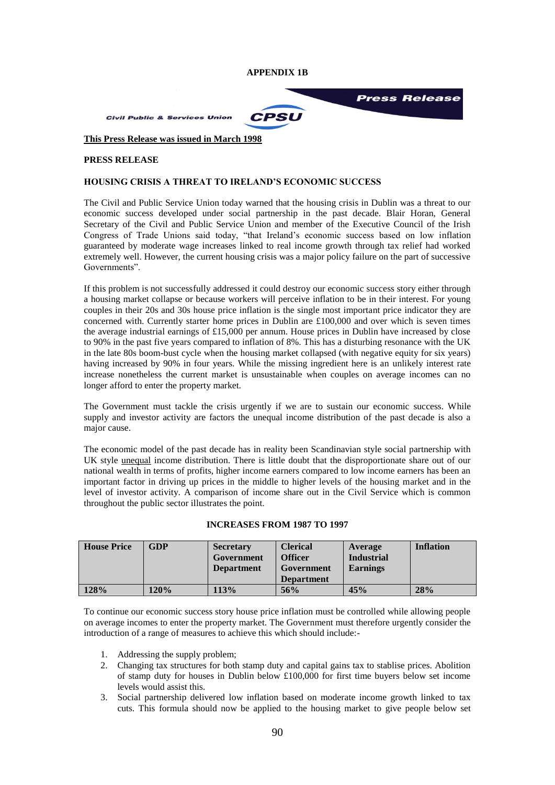

**Civil Public & Services Union** 

**CPSU** 

**Press Release** 

# **This Press Release was issued in March 1998**

# **PRESS RELEASE**

# **HOUSING CRISIS A THREAT TO IRELAND'S ECONOMIC SUCCESS**

The Civil and Public Service Union today warned that the housing crisis in Dublin was a threat to our economic success developed under social partnership in the past decade. Blair Horan, General Secretary of the Civil and Public Service Union and member of the Executive Council of the Irish Congress of Trade Unions said today, "that Ireland"s economic success based on low inflation guaranteed by moderate wage increases linked to real income growth through tax relief had worked extremely well. However, the current housing crisis was a major policy failure on the part of successive Governments".

If this problem is not successfully addressed it could destroy our economic success story either through a housing market collapse or because workers will perceive inflation to be in their interest. For young couples in their 20s and 30s house price inflation is the single most important price indicator they are concerned with. Currently starter home prices in Dublin are £100,000 and over which is seven times the average industrial earnings of £15,000 per annum. House prices in Dublin have increased by close to 90% in the past five years compared to inflation of 8%. This has a disturbing resonance with the UK in the late 80s boom-bust cycle when the housing market collapsed (with negative equity for six years) having increased by 90% in four years. While the missing ingredient here is an unlikely interest rate increase nonetheless the current market is unsustainable when couples on average incomes can no longer afford to enter the property market.

The Government must tackle the crisis urgently if we are to sustain our economic success. While supply and investor activity are factors the unequal income distribution of the past decade is also a major cause.

The economic model of the past decade has in reality been Scandinavian style social partnership with UK style unequal income distribution. There is little doubt that the disproportionate share out of our national wealth in terms of profits, higher income earners compared to low income earners has been an important factor in driving up prices in the middle to higher levels of the housing market and in the level of investor activity. A comparison of income share out in the Civil Service which is common throughout the public sector illustrates the point.

# **INCREASES FROM 1987 TO 1997**

| <b>House Price</b> | GDP  | <b>Secretary</b><br>Government<br><b>Department</b> | <b>Clerical</b><br><b>Officer</b><br>Government<br><b>Department</b> | Average<br><b>Industrial</b><br><b>Earnings</b> | <b>Inflation</b> |
|--------------------|------|-----------------------------------------------------|----------------------------------------------------------------------|-------------------------------------------------|------------------|
|                    |      |                                                     |                                                                      |                                                 |                  |
| 128%               | 120% | 113%                                                | 56%                                                                  | 45%                                             | 28%              |

To continue our economic success story house price inflation must be controlled while allowing people on average incomes to enter the property market. The Government must therefore urgently consider the introduction of a range of measures to achieve this which should include:-

- 1. Addressing the supply problem;
- 2. Changing tax structures for both stamp duty and capital gains tax to stablise prices. Abolition of stamp duty for houses in Dublin below £100,000 for first time buyers below set income levels would assist this.
- 3. Social partnership delivered low inflation based on moderate income growth linked to tax cuts. This formula should now be applied to the housing market to give people below set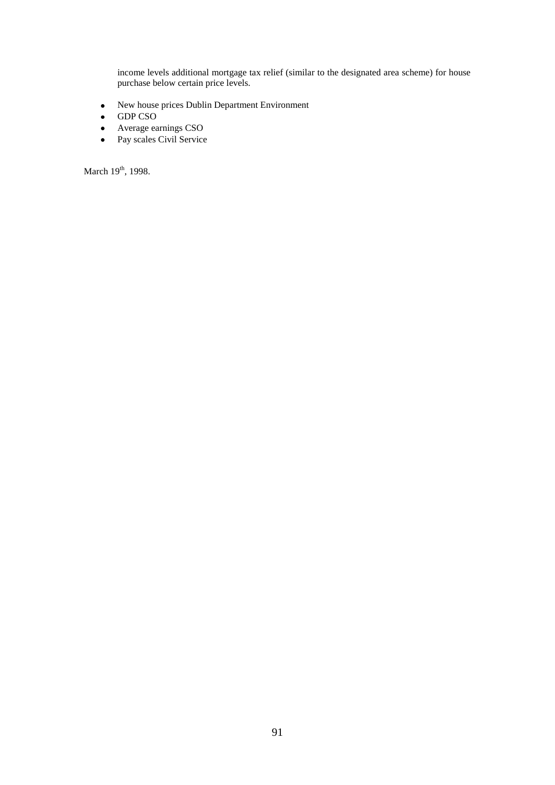income levels additional mortgage tax relief (similar to the designated area scheme) for house purchase below certain price levels.

- New house prices Dublin Department Environment  $\bullet$
- GDP CSO
- Average earnings CSO  $\bullet$
- Pay scales Civil Service  $\bullet$

March  $19<sup>th</sup>$ , 1998.